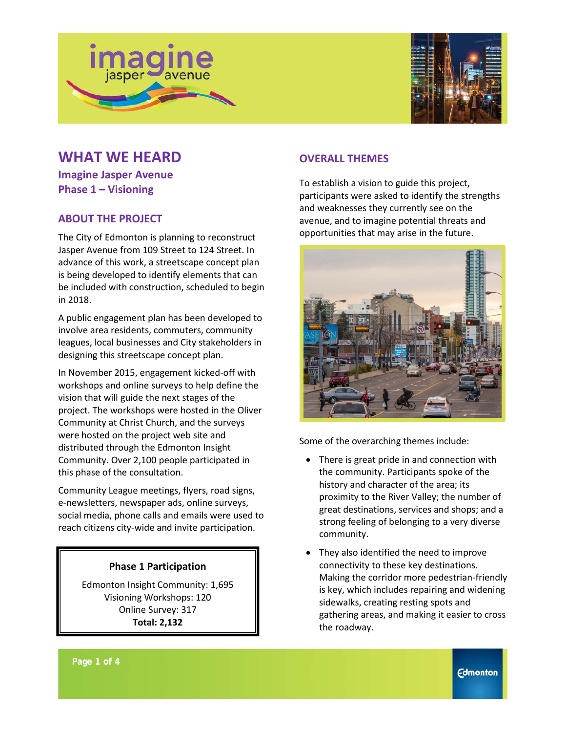



# **WHAT WE HEARD**

**Imagine Jasper Avenue Phase 1 – Visioning**

# **ABOUT THE PROJECT**

The City of Edmonton is planning to reconstruct Jasper Avenue from 109 Street to 124 Street. In advance of this work, a streetscape concept plan is being developed to identify elements that can be included with construction, scheduled to begin in 2018.

A public engagement plan has been developed to involve area residents, commuters, community leagues, local businesses and City stakeholders in designing this streetscape concept plan.

In November 2015, engagement kicked-off with workshops and online surveys to help define the vision that will guide the next stages of the project. The workshops were hosted in the Oliver Community at Christ Church, and the surveys were hosted on the project web site and distributed through the Edmonton Insight Community. Over 2,100 people participated in this phase of the consultation.

Community League meetings, flyers, road signs, e-newsletters, newspaper ads, online surveys, social media, phone calls and emails were used to reach citizens city-wide and invite participation.

#### **Phase 1 Participation**

Edmonton Insight Community: 1,695 Visioning Workshops: 120 Online Survey: 317 **Total: 2,132**

## **OVERALL THEMES**

To establish a vision to guide this project, participants were asked to identify the strengths and weaknesses they currently see on the avenue, and to imagine potential threats and opportunities that may arise in the future.



Some of the overarching themes include:

- There is great pride in and connection with the community. Participants spoke of the history and character of the area; its proximity to the River Valley; the number of great destinations, services and shops; and a strong feeling of belonging to a very diverse community.
- They also identified the need to improve connectivity to these key destinations. Making the corridor more pedestrian-friendly is key, which includes repairing and widening sidewalks, creating resting spots and gathering areas, and making it easier to cross the roadway.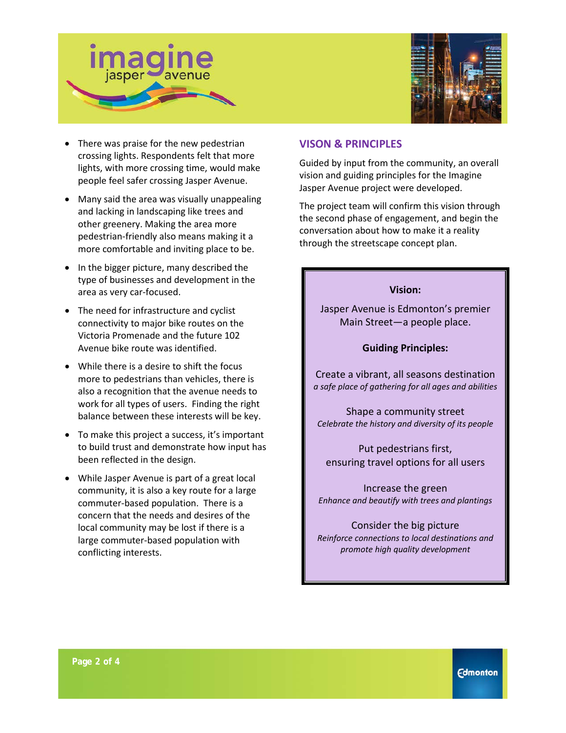



- There was praise for the new pedestrian crossing lights. Respondents felt that more lights, with more crossing time, would make people feel safer crossing Jasper Avenue.
- Many said the area was visually unappealing and lacking in landscaping like trees and other greenery. Making the area more pedestrian-friendly also means making it a more comfortable and inviting place to be.
- In the bigger picture, many described the type of businesses and development in the area as very car-focused.
- The need for infrastructure and cyclist connectivity to major bike routes on the Victoria Promenade and the future 102 Avenue bike route was identified.
- While there is a desire to shift the focus more to pedestrians than vehicles, there is also a recognition that the avenue needs to work for all types of users. Finding the right balance between these interests will be key.
- To make this project a success, it's important to build trust and demonstrate how input has been reflected in the design.
- While Jasper Avenue is part of a great local community, it is also a key route for a large commuter-based population. There is a concern that the needs and desires of the local community may be lost if there is a large commuter-based population with conflicting interests.

#### **VISON & PRINCIPLES**

Guided by input from the community, an overall vision and guiding principles for the Imagine Jasper Avenue project were developed.

The project team will confirm this vision through the second phase of engagement, and begin the conversation about how to make it a reality through the streetscape concept plan.

#### **Vision:**

Jasper Avenue is Edmonton's premier Main Street—a people place.

#### **Guiding Principles:**

Create a vibrant, all seasons destination *a safe place of gathering for all ages and abilities*

Shape a community street *Celebrate the history and diversity of its people*

Put pedestrians first, ensuring travel options for all users

Increase the green *Enhance and beautify with trees and plantings* 

Consider the big picture *Reinforce connections to local destinations and promote high quality development*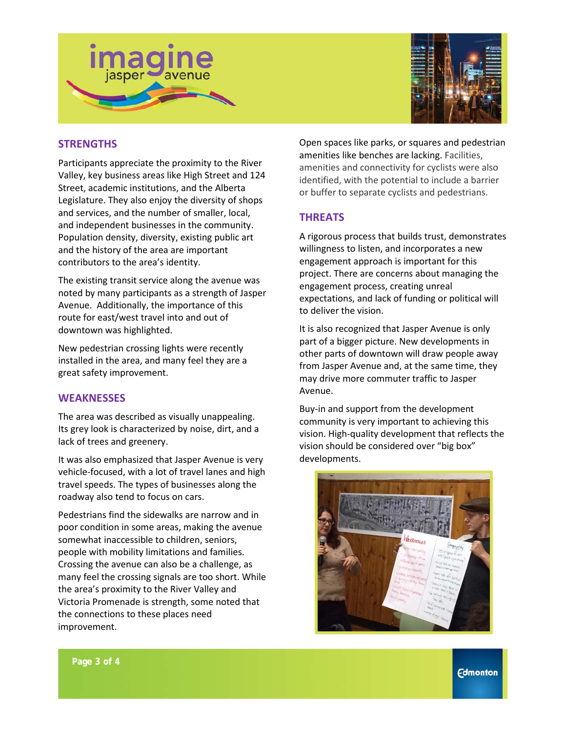



## **STRENGTHS**

Participants appreciate the proximity to the River Valley, key business areas like High Street and 124 Street, academic institutions, and the Alberta Legislature. They also enjoy the diversity of shops and services, and the number of smaller, local, and independent businesses in the community. Population density, diversity, existing public art and the history of the area are important contributors to the area's identity.

The existing transit service along the avenue was noted by many participants as a strength of Jasper Avenue. Additionally, the importance of this route for east/west travel into and out of downtown was highlighted.

New pedestrian crossing lights were recently installed in the area, and many feel they are a great safety improvement.

#### **WEAKNESSES**

The area was described as visually unappealing. Its grey look is characterized by noise, dirt, and a lack of trees and greenery.

It was also emphasized that Jasper Avenue is very vehicle-focused, with a lot of travel lanes and high travel speeds. The types of businesses along the roadway also tend to focus on cars.

Pedestrians find the sidewalks are narrow and in poor condition in some areas, making the avenue somewhat inaccessible to children, seniors, people with mobility limitations and families. Crossing the avenue can also be a challenge, as many feel the crossing signals are too short. While the area's proximity to the River Valley and Victoria Promenade is strength, some noted that the connections to these places need improvement.

Open spaces like parks, or squares and pedestrian amenities like benches are lacking. Facilities, amenities and connectivity for cyclists were also identified, with the potential to include a barrier or buffer to separate cyclists and pedestrians.

#### **THREATS**

A rigorous process that builds trust, demonstrates willingness to listen, and incorporates a new engagement approach is important for this project. There are concerns about managing the engagement process, creating unreal expectations, and lack of funding or political will to deliver the vision.

It is also recognized that Jasper Avenue is only part of a bigger picture. New developments in other parts of downtown will draw people away from Jasper Avenue and, at the same time, they may drive more commuter traffic to Jasper Avenue.

Buy-in and support from the development community is very important to achieving this vision. High-quality development that reflects the vision should be considered over "big box" developments.